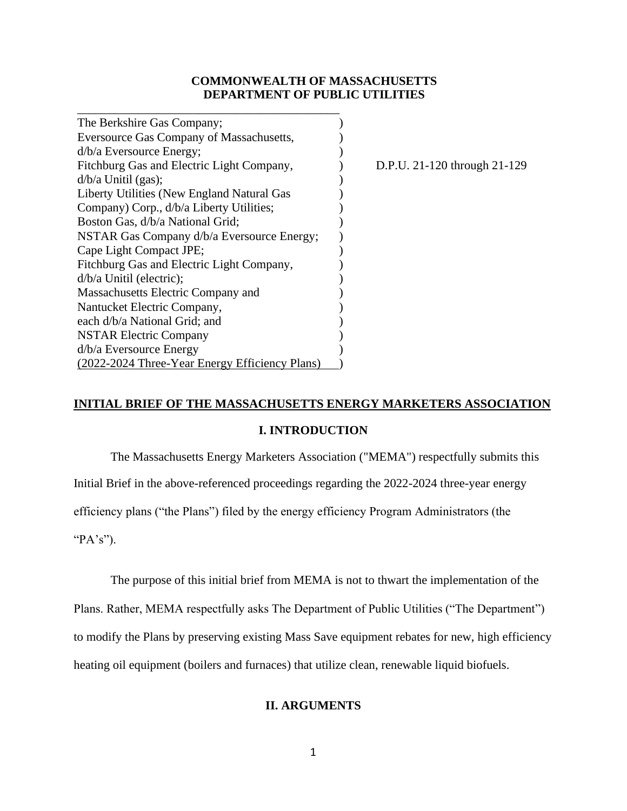## **COMMONWEALTH OF MASSACHUSETTS DEPARTMENT OF PUBLIC UTILITIES**

| The Berkshire Gas Company;                     |  |
|------------------------------------------------|--|
| Eversource Gas Company of Massachusetts,       |  |
| d/b/a Eversource Energy;                       |  |
| Fitchburg Gas and Electric Light Company,      |  |
| $d/b/a$ Unitil (gas);                          |  |
| Liberty Utilities (New England Natural Gas     |  |
| Company) Corp., d/b/a Liberty Utilities;       |  |
| Boston Gas, d/b/a National Grid;               |  |
| NSTAR Gas Company d/b/a Eversource Energy;     |  |
| Cape Light Compact JPE;                        |  |
| Fitchburg Gas and Electric Light Company,      |  |
| $d/b/a$ Unitil (electric);                     |  |
| Massachusetts Electric Company and             |  |
| Nantucket Electric Company,                    |  |
| each d/b/a National Grid; and                  |  |
| <b>NSTAR Electric Company</b>                  |  |
| d/b/a Eversource Energy                        |  |
| (2022-2024 Three-Year Energy Efficiency Plans) |  |

\_\_\_\_\_\_\_\_\_\_\_\_\_\_\_\_\_\_\_\_\_\_\_\_\_\_\_\_\_\_\_\_\_\_\_\_\_\_\_\_\_\_\_

D.P.U. 21-120 through 21-129

# **INITIAL BRIEF OF THE MASSACHUSETTS ENERGY MARKETERS ASSOCIATION**

## **I. INTRODUCTION**

The Massachusetts Energy Marketers Association ("MEMA") respectfully submits this Initial Brief in the above-referenced proceedings regarding the 2022-2024 three-year energy efficiency plans ("the Plans") filed by the energy efficiency Program Administrators (the "PA's").

The purpose of this initial brief from MEMA is not to thwart the implementation of the

Plans. Rather, MEMA respectfully asks The Department of Public Utilities ("The Department") to modify the Plans by preserving existing Mass Save equipment rebates for new, high efficiency heating oil equipment (boilers and furnaces) that utilize clean, renewable liquid biofuels.

## **II. ARGUMENTS**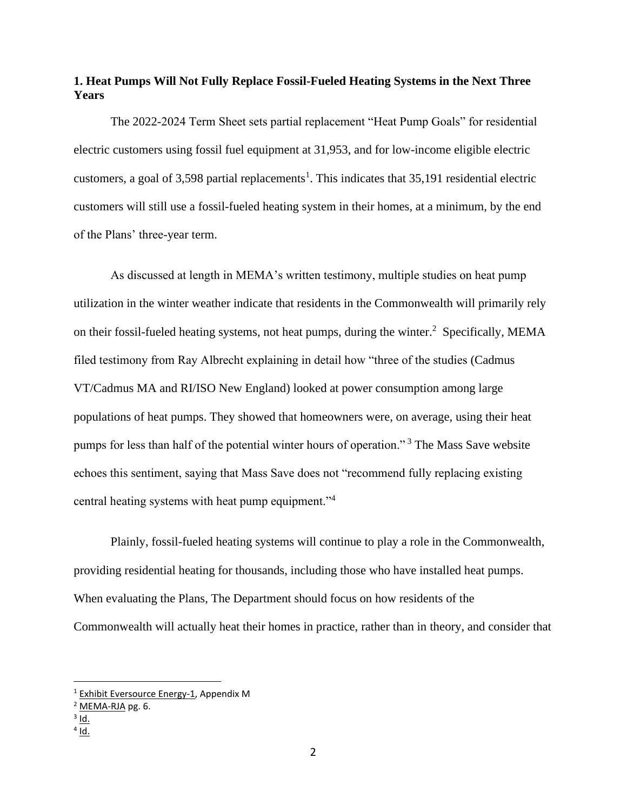## **1. Heat Pumps Will Not Fully Replace Fossil-Fueled Heating Systems in the Next Three Years**

The 2022-2024 Term Sheet sets partial replacement "Heat Pump Goals" for residential electric customers using fossil fuel equipment at 31,953, and for low-income eligible electric customers, a goal of 3,598 partial replacements<sup>1</sup>. This indicates that  $35,191$  residential electric customers will still use a fossil-fueled heating system in their homes, at a minimum, by the end of the Plans' three-year term.

As discussed at length in MEMA's written testimony, multiple studies on heat pump utilization in the winter weather indicate that residents in the Commonwealth will primarily rely on their fossil-fueled heating systems, not heat pumps, during the winter.<sup>2</sup> Specifically, MEMA filed testimony from Ray Albrecht explaining in detail how "three of the studies (Cadmus VT/Cadmus MA and RI/ISO New England) looked at power consumption among large populations of heat pumps. They showed that homeowners were, on average, using their heat pumps for less than half of the potential winter hours of operation."<sup>3</sup> The Mass Save website echoes this sentiment, saying that Mass Save does not "recommend fully replacing existing central heating systems with heat pump equipment."<sup>4</sup>

Plainly, fossil-fueled heating systems will continue to play a role in the Commonwealth, providing residential heating for thousands, including those who have installed heat pumps. When evaluating the Plans, The Department should focus on how residents of the Commonwealth will actually heat their homes in practice, rather than in theory, and consider that

<sup>3</sup> <u>Id.</u>

<sup>&</sup>lt;sup>1</sup> Exhibit Eversource Energy-1, Appendix M

<sup>2</sup> MEMA-RJA pg. 6.

<sup>&</sup>lt;sup>4</sup> <u>Id.</u>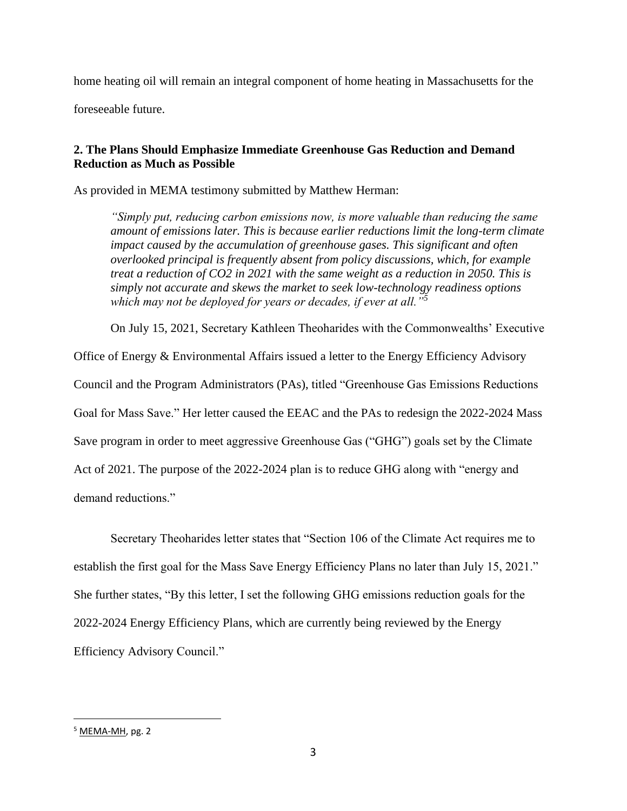home heating oil will remain an integral component of home heating in Massachusetts for the

foreseeable future.

# **2. The Plans Should Emphasize Immediate Greenhouse Gas Reduction and Demand Reduction as Much as Possible**

As provided in MEMA testimony submitted by Matthew Herman:

*"Simply put, reducing carbon emissions now, is more valuable than reducing the same amount of emissions later. This is because earlier reductions limit the long-term climate impact caused by the accumulation of greenhouse gases. This significant and often overlooked principal is frequently absent from policy discussions, which, for example treat a reduction of CO2 in 2021 with the same weight as a reduction in 2050. This is simply not accurate and skews the market to seek low-technology readiness options which may not be deployed for years or decades, if ever at all."<sup>5</sup>*

On July 15, 2021, Secretary Kathleen Theoharides with the Commonwealths' Executive

Office of Energy & Environmental Affairs issued a letter to the Energy Efficiency Advisory

Council and the Program Administrators (PAs), titled "Greenhouse Gas Emissions Reductions

Goal for Mass Save." Her letter caused the EEAC and the PAs to redesign the 2022-2024 Mass

Save program in order to meet aggressive Greenhouse Gas ("GHG") goals set by the Climate

Act of 2021. The purpose of the 2022-2024 plan is to reduce GHG along with "energy and

demand reductions."

Secretary Theoharides letter states that "Section 106 of the Climate Act requires me to establish the first goal for the Mass Save Energy Efficiency Plans no later than July 15, 2021." She further states, "By this letter, I set the following GHG emissions reduction goals for the 2022-2024 Energy Efficiency Plans, which are currently being reviewed by the Energy Efficiency Advisory Council."

<sup>&</sup>lt;sup>5</sup> MEMA-MH, pg. 2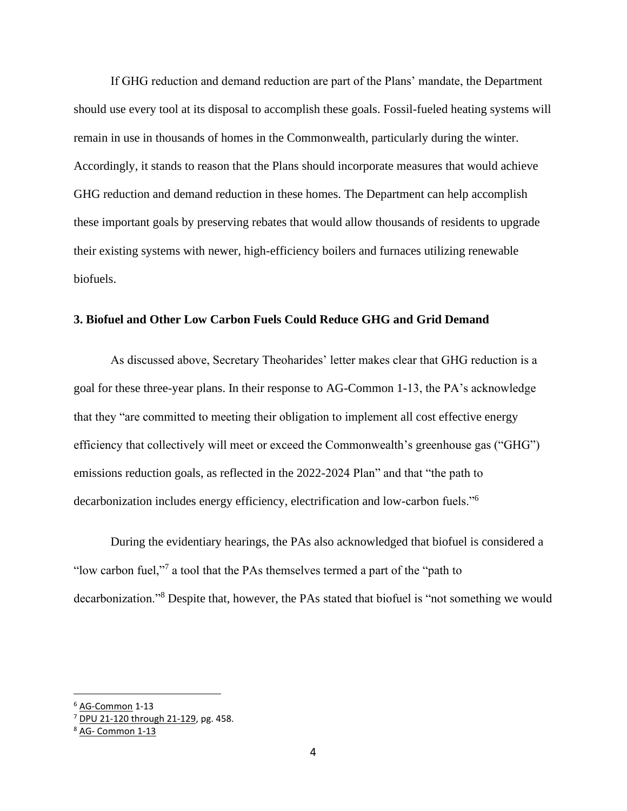If GHG reduction and demand reduction are part of the Plans' mandate, the Department should use every tool at its disposal to accomplish these goals. Fossil-fueled heating systems will remain in use in thousands of homes in the Commonwealth, particularly during the winter. Accordingly, it stands to reason that the Plans should incorporate measures that would achieve GHG reduction and demand reduction in these homes. The Department can help accomplish these important goals by preserving rebates that would allow thousands of residents to upgrade their existing systems with newer, high-efficiency boilers and furnaces utilizing renewable biofuels.

### **3. Biofuel and Other Low Carbon Fuels Could Reduce GHG and Grid Demand**

As discussed above, Secretary Theoharides' letter makes clear that GHG reduction is a goal for these three-year plans. In their response to AG-Common 1-13, the PA's acknowledge that they "are committed to meeting their obligation to implement all cost effective energy efficiency that collectively will meet or exceed the Commonwealth's greenhouse gas ("GHG") emissions reduction goals, as reflected in the 2022-2024 Plan" and that "the path to decarbonization includes energy efficiency, electrification and low-carbon fuels."<sup>6</sup>

During the evidentiary hearings, the PAs also acknowledged that biofuel is considered a "low carbon fuel,"<sup>7</sup> a tool that the PAs themselves termed a part of the "path to" decarbonization."<sup>8</sup> Despite that, however, the PAs stated that biofuel is "not something we would

<sup>6</sup> AG-Common 1-13

 $7$  DPU 21-120 through 21-129, pg. 458.

<sup>8</sup> AG- Common 1-13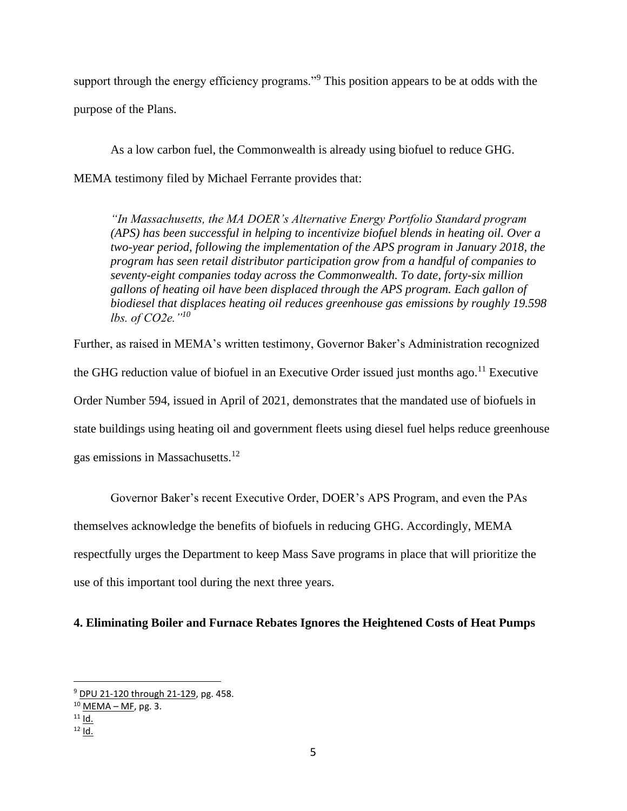support through the energy efficiency programs."<sup>9</sup> This position appears to be at odds with the purpose of the Plans.

As a low carbon fuel, the Commonwealth is already using biofuel to reduce GHG. MEMA testimony filed by Michael Ferrante provides that:

*"In Massachusetts, the MA DOER's Alternative Energy Portfolio Standard program (APS) has been successful in helping to incentivize biofuel blends in heating oil. Over a two-year period, following the implementation of the APS program in January 2018, the program has seen retail distributor participation grow from a handful of companies to seventy-eight companies today across the Commonwealth. To date, forty-six million gallons of heating oil have been displaced through the APS program. Each gallon of biodiesel that displaces heating oil reduces greenhouse gas emissions by roughly 19.598 lbs. of CO2e."<sup>10</sup>*

Further, as raised in MEMA's written testimony, Governor Baker's Administration recognized the GHG reduction value of biofuel in an Executive Order issued just months ago.<sup>11</sup> Executive Order Number 594, issued in April of 2021, demonstrates that the mandated use of biofuels in state buildings using heating oil and government fleets using diesel fuel helps reduce greenhouse gas emissions in Massachusetts.<sup>12</sup>

Governor Baker's recent Executive Order, DOER's APS Program, and even the PAs themselves acknowledge the benefits of biofuels in reducing GHG. Accordingly, MEMA respectfully urges the Department to keep Mass Save programs in place that will prioritize the use of this important tool during the next three years.

### **4. Eliminating Boiler and Furnace Rebates Ignores the Heightened Costs of Heat Pumps**

<sup>9</sup> DPU 21-120 through 21-129, pg. 458.

 $10$  MEMA – MF, pg. 3.

 $11$  Id.

 $12$  Id.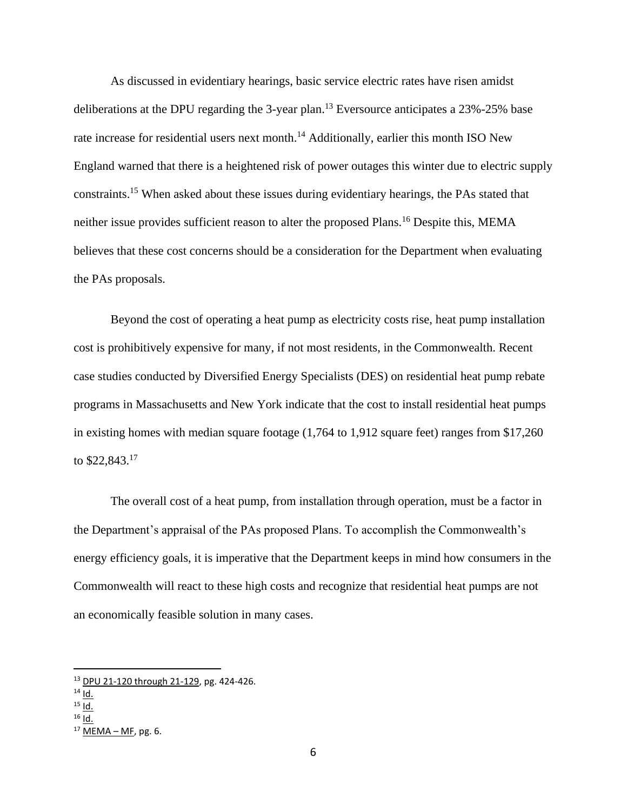As discussed in evidentiary hearings, basic service electric rates have risen amidst deliberations at the DPU regarding the 3-year plan.<sup>13</sup> Eversource anticipates a  $23\%$ -25% base rate increase for residential users next month.<sup>14</sup> Additionally, earlier this month ISO New England warned that there is a heightened risk of power outages this winter due to electric supply constraints.<sup>15</sup> When asked about these issues during evidentiary hearings, the PAs stated that neither issue provides sufficient reason to alter the proposed Plans.<sup>16</sup> Despite this, MEMA believes that these cost concerns should be a consideration for the Department when evaluating the PAs proposals.

Beyond the cost of operating a heat pump as electricity costs rise, heat pump installation cost is prohibitively expensive for many, if not most residents, in the Commonwealth. Recent case studies conducted by Diversified Energy Specialists (DES) on residential heat pump rebate programs in Massachusetts and New York indicate that the cost to install residential heat pumps in existing homes with median square footage (1,764 to 1,912 square feet) ranges from \$17,260 to \$22,843.<sup>17</sup>

The overall cost of a heat pump, from installation through operation, must be a factor in the Department's appraisal of the PAs proposed Plans. To accomplish the Commonwealth's energy efficiency goals, it is imperative that the Department keeps in mind how consumers in the Commonwealth will react to these high costs and recognize that residential heat pumps are not an economically feasible solution in many cases.

<sup>13</sup> DPU 21-120 through 21-129, pg. 424-426.

 $14$  Id.

 $15$  Id.

 $16$  Id.

 $17$  MEMA – MF, pg. 6.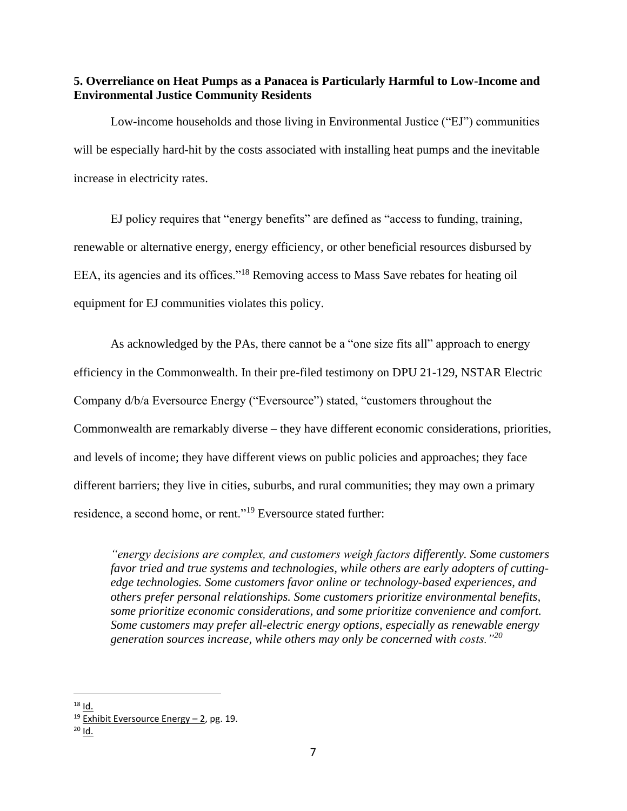**5. Overreliance on Heat Pumps as a Panacea is Particularly Harmful to Low-Income and Environmental Justice Community Residents**

Low-income households and those living in Environmental Justice ("EJ") communities will be especially hard-hit by the costs associated with installing heat pumps and the inevitable increase in electricity rates.

EJ policy requires that "energy benefits" are defined as "access to funding, training, renewable or alternative energy, energy efficiency, or other beneficial resources disbursed by EEA, its agencies and its offices."<sup>18</sup> Removing access to Mass Save rebates for heating oil equipment for EJ communities violates this policy.

As acknowledged by the PAs, there cannot be a "one size fits all" approach to energy efficiency in the Commonwealth. In their pre-filed testimony on DPU 21-129, NSTAR Electric Company d/b/a Eversource Energy ("Eversource") stated, "customers throughout the Commonwealth are remarkably diverse – they have different economic considerations, priorities, and levels of income; they have different views on public policies and approaches; they face different barriers; they live in cities, suburbs, and rural communities; they may own a primary residence, a second home, or rent."<sup>19</sup> Eversource stated further:

*"energy decisions are complex, and customers weigh factors differently. Some customers favor tried and true systems and technologies, while others are early adopters of cuttingedge technologies. Some customers favor online or technology-based experiences, and others prefer personal relationships. Some customers prioritize environmental benefits, some prioritize economic considerations, and some prioritize convenience and comfort. Some customers may prefer all-electric energy options, especially as renewable energy generation sources increase, while others may only be concerned with costs."<sup>20</sup>*

 $18$  Id.

<sup>&</sup>lt;sup>19</sup> Exhibit Eversource Energy  $-$  2, pg. 19.

 $20$  Id.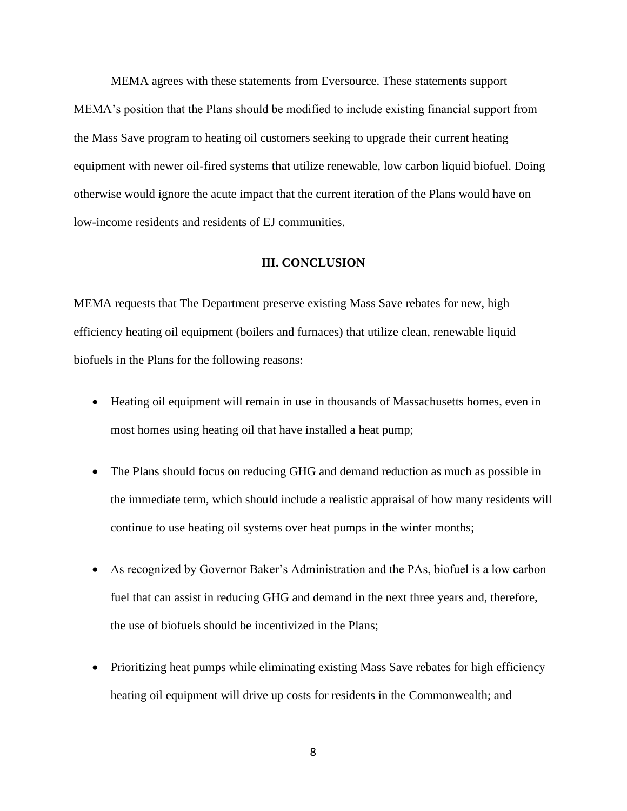MEMA agrees with these statements from Eversource. These statements support MEMA's position that the Plans should be modified to include existing financial support from the Mass Save program to heating oil customers seeking to upgrade their current heating equipment with newer oil-fired systems that utilize renewable, low carbon liquid biofuel. Doing otherwise would ignore the acute impact that the current iteration of the Plans would have on low-income residents and residents of EJ communities.

#### **III. CONCLUSION**

MEMA requests that The Department preserve existing Mass Save rebates for new, high efficiency heating oil equipment (boilers and furnaces) that utilize clean, renewable liquid biofuels in the Plans for the following reasons:

- Heating oil equipment will remain in use in thousands of Massachusetts homes, even in most homes using heating oil that have installed a heat pump;
- The Plans should focus on reducing GHG and demand reduction as much as possible in the immediate term, which should include a realistic appraisal of how many residents will continue to use heating oil systems over heat pumps in the winter months;
- As recognized by Governor Baker's Administration and the PAs, biofuel is a low carbon fuel that can assist in reducing GHG and demand in the next three years and, therefore, the use of biofuels should be incentivized in the Plans;
- Prioritizing heat pumps while eliminating existing Mass Save rebates for high efficiency heating oil equipment will drive up costs for residents in the Commonwealth; and

8